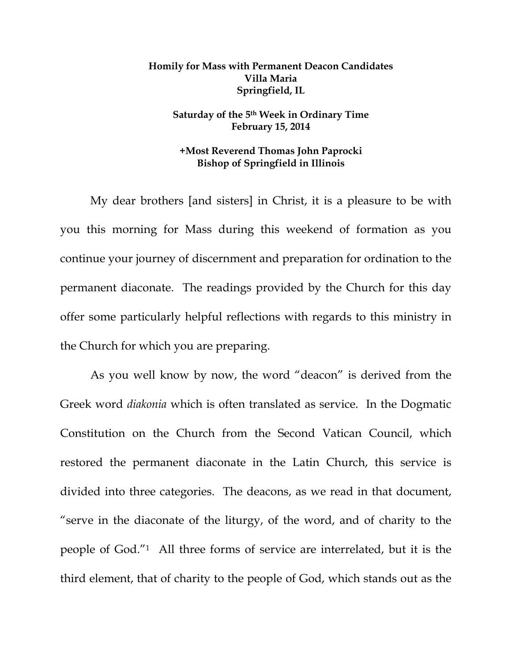## **Homily for Mass with Permanent Deacon Candidates Villa Maria Springfield, IL**

## **Saturday of the 5th Week in Ordinary Time February 15, 2014**

## **+Most Reverend Thomas John Paprocki Bishop of Springfield in Illinois**

My dear brothers [and sisters] in Christ, it is a pleasure to be with you this morning for Mass during this weekend of formation as you continue your journey of discernment and preparation for ordination to the permanent diaconate. The readings provided by the Church for this day offer some particularly helpful reflections with regards to this ministry in the Church for which you are preparing.

As you well know by now, the word "deacon" is derived from the Greek word *diakonia* which is often translated as service. In the Dogmatic Constitution on the Church from the Second Vatican Council, which restored the permanent diaconate in the Latin Church, this service is divided into three categories. The deacons, as we read in that document, "serve in the diaconate of the liturgy, of the word, and of charity to the people of God."1 All three forms of service are interrelated, but it is the third element, that of charity to the people of God, which stands out as the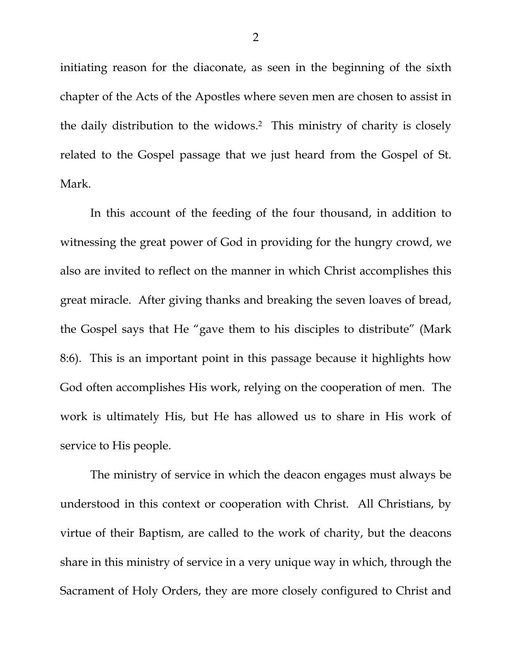initiating reason for the diaconate, as seen in the beginning of the sixth chapter of the Acts of the Apostles where seven men are chosen to assist in the daily distribution to the widows.2 This ministry of charity is closely related to the Gospel passage that we just heard from the Gospel of St. Mark.

In this account of the feeding of the four thousand, in addition to witnessing the great power of God in providing for the hungry crowd, we also are invited to reflect on the manner in which Christ accomplishes this great miracle. After giving thanks and breaking the seven loaves of bread, the Gospel says that He "gave them to his disciples to distribute" (Mark 8:6). This is an important point in this passage because it highlights how God often accomplishes His work, relying on the cooperation of men. The work is ultimately His, but He has allowed us to share in His work of service to His people.

The ministry of service in which the deacon engages must always be understood in this context or cooperation with Christ. All Christians, by virtue of their Baptism, are called to the work of charity, but the deacons share in this ministry of service in a very unique way in which, through the Sacrament of Holy Orders, they are more closely configured to Christ and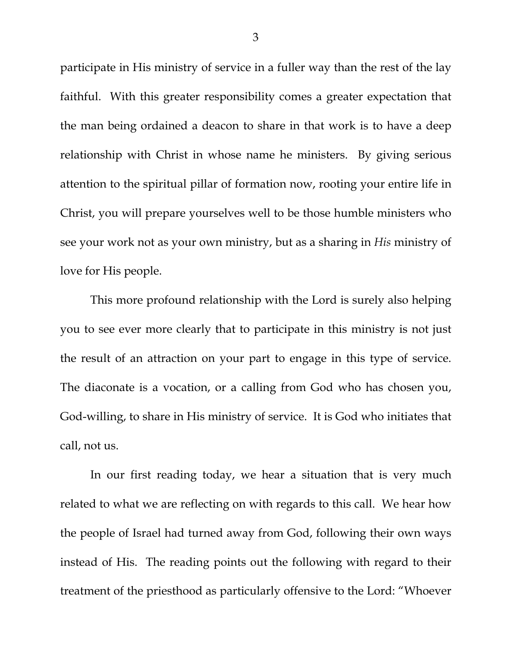participate in His ministry of service in a fuller way than the rest of the lay faithful. With this greater responsibility comes a greater expectation that the man being ordained a deacon to share in that work is to have a deep relationship with Christ in whose name he ministers. By giving serious attention to the spiritual pillar of formation now, rooting your entire life in Christ, you will prepare yourselves well to be those humble ministers who see your work not as your own ministry, but as a sharing in *His* ministry of love for His people.

This more profound relationship with the Lord is surely also helping you to see ever more clearly that to participate in this ministry is not just the result of an attraction on your part to engage in this type of service. The diaconate is a vocation, or a calling from God who has chosen you, God-willing, to share in His ministry of service. It is God who initiates that call, not us.

In our first reading today, we hear a situation that is very much related to what we are reflecting on with regards to this call. We hear how the people of Israel had turned away from God, following their own ways instead of His. The reading points out the following with regard to their treatment of the priesthood as particularly offensive to the Lord: "Whoever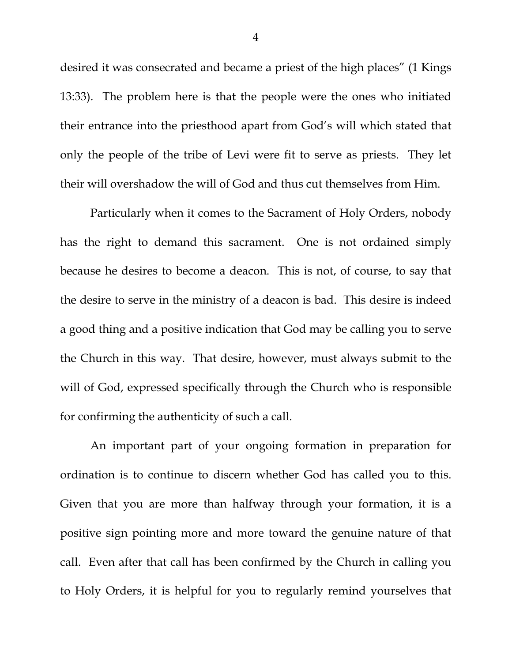desired it was consecrated and became a priest of the high places" (1 Kings 13:33). The problem here is that the people were the ones who initiated their entrance into the priesthood apart from God's will which stated that only the people of the tribe of Levi were fit to serve as priests. They let their will overshadow the will of God and thus cut themselves from Him.

Particularly when it comes to the Sacrament of Holy Orders, nobody has the right to demand this sacrament. One is not ordained simply because he desires to become a deacon. This is not, of course, to say that the desire to serve in the ministry of a deacon is bad. This desire is indeed a good thing and a positive indication that God may be calling you to serve the Church in this way. That desire, however, must always submit to the will of God, expressed specifically through the Church who is responsible for confirming the authenticity of such a call.

An important part of your ongoing formation in preparation for ordination is to continue to discern whether God has called you to this. Given that you are more than halfway through your formation, it is a positive sign pointing more and more toward the genuine nature of that call. Even after that call has been confirmed by the Church in calling you to Holy Orders, it is helpful for you to regularly remind yourselves that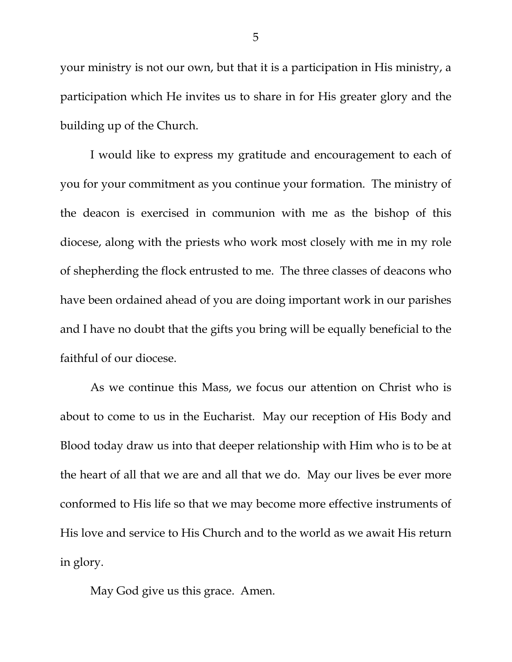your ministry is not our own, but that it is a participation in His ministry, a participation which He invites us to share in for His greater glory and the building up of the Church.

I would like to express my gratitude and encouragement to each of you for your commitment as you continue your formation. The ministry of the deacon is exercised in communion with me as the bishop of this diocese, along with the priests who work most closely with me in my role of shepherding the flock entrusted to me. The three classes of deacons who have been ordained ahead of you are doing important work in our parishes and I have no doubt that the gifts you bring will be equally beneficial to the faithful of our diocese.

As we continue this Mass, we focus our attention on Christ who is about to come to us in the Eucharist. May our reception of His Body and Blood today draw us into that deeper relationship with Him who is to be at the heart of all that we are and all that we do. May our lives be ever more conformed to His life so that we may become more effective instruments of His love and service to His Church and to the world as we await His return in glory.

May God give us this grace. Amen.